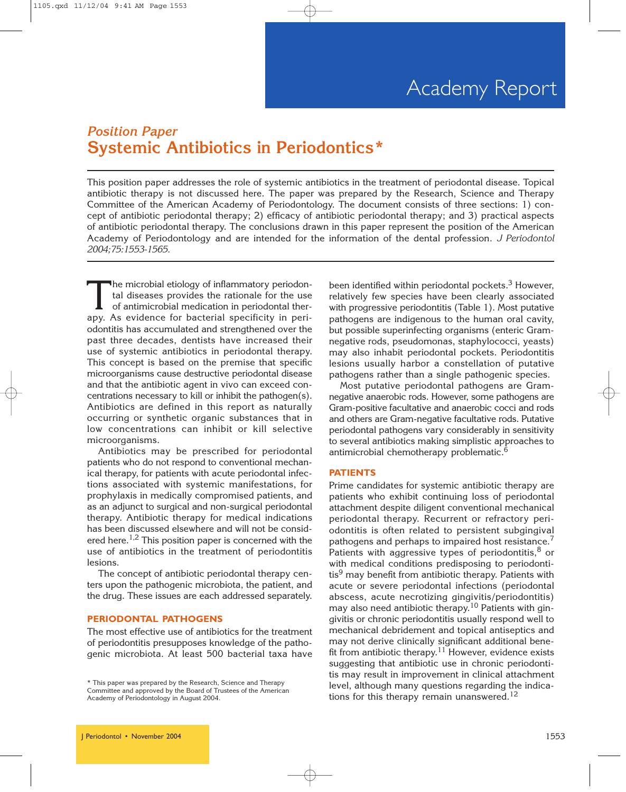## *Position Paper* **Systemic Antibiotics in Periodontics\***

This position paper addresses the role of systemic antibiotics in the treatment of periodontal disease. Topical antibiotic therapy is not discussed here. The paper was prepared by the Research, Science and Therapy Committee of the American Academy of Periodontology. The document consists of three sections: 1) concept of antibiotic periodontal therapy; 2) efficacy of antibiotic periodontal therapy; and 3) practical aspects of antibiotic periodontal therapy. The conclusions drawn in this paper represent the position of the American Academy of Periodontology and are intended for the information of the dental profession. *J Periodontol 2004;75:1553-1565.*

The microbial etiology of inflammatory periodontal diseases provides the rationale for the use of antimicrobial medication in periodontal therapy. As evidence for bacterial specificity in periodontitis has accumulated and strengthened over the past three decades, dentists have increased their use of systemic antibiotics in periodontal therapy. This concept is based on the premise that specific microorganisms cause destructive periodontal disease and that the antibiotic agent in vivo can exceed concentrations necessary to kill or inhibit the pathogen(s). Antibiotics are defined in this report as naturally occurring or synthetic organic substances that in low concentrations can inhibit or kill selective microorganisms.

Antibiotics may be prescribed for periodontal patients who do not respond to conventional mechanical therapy, for patients with acute periodontal infections associated with systemic manifestations, for prophylaxis in medically compromised patients, and as an adjunct to surgical and non-surgical periodontal therapy. Antibiotic therapy for medical indications has been discussed elsewhere and will not be considered here.<sup>1,2</sup> This position paper is concerned with the use of antibiotics in the treatment of periodontitis lesions.

The concept of antibiotic periodontal therapy centers upon the pathogenic microbiota, the patient, and the drug. These issues are each addressed separately.

## **PERIODONTAL PATHOGENS**

The most effective use of antibiotics for the treatment of periodontitis presupposes knowledge of the pathogenic microbiota. At least 500 bacterial taxa have

\* This paper was prepared by the Research, Science and Therapy Committee and approved by the Board of Trustees of the American Academy of Periodontology in August 2004.

been identified within periodontal pockets. $3$  However, relatively few species have been clearly associated with progressive periodontitis (Table 1). Most putative pathogens are indigenous to the human oral cavity, but possible superinfecting organisms (enteric Gramnegative rods, pseudomonas, staphylococci, yeasts) may also inhabit periodontal pockets. Periodontitis lesions usually harbor a constellation of putative pathogens rather than a single pathogenic species.

Most putative periodontal pathogens are Gramnegative anaerobic rods. However, some pathogens are Gram-positive facultative and anaerobic cocci and rods and others are Gram-negative facultative rods. Putative periodontal pathogens vary considerably in sensitivity to several antibiotics making simplistic approaches to antimicrobial chemotherapy problematic.6

#### **PATIENTS**

Prime candidates for systemic antibiotic therapy are patients who exhibit continuing loss of periodontal attachment despite diligent conventional mechanical periodontal therapy. Recurrent or refractory periodontitis is often related to persistent subgingival pathogens and perhaps to impaired host resistance.<sup>7</sup> Patients with aggressive types of periodontitis, $8$  or with medical conditions predisposing to periodonti- $\mathrm{tis}^9$  may benefit from antibiotic therapy. Patients with acute or severe periodontal infections (periodontal abscess, acute necrotizing gingivitis/periodontitis) may also need antibiotic therapy.<sup>10</sup> Patients with gingivitis or chronic periodontitis usually respond well to mechanical debridement and topical antiseptics and may not derive clinically significant additional benefit from antibiotic therapy.<sup>11</sup> However, evidence exists suggesting that antibiotic use in chronic periodontitis may result in improvement in clinical attachment level, although many questions regarding the indications for this therapy remain unanswered.<sup>12</sup>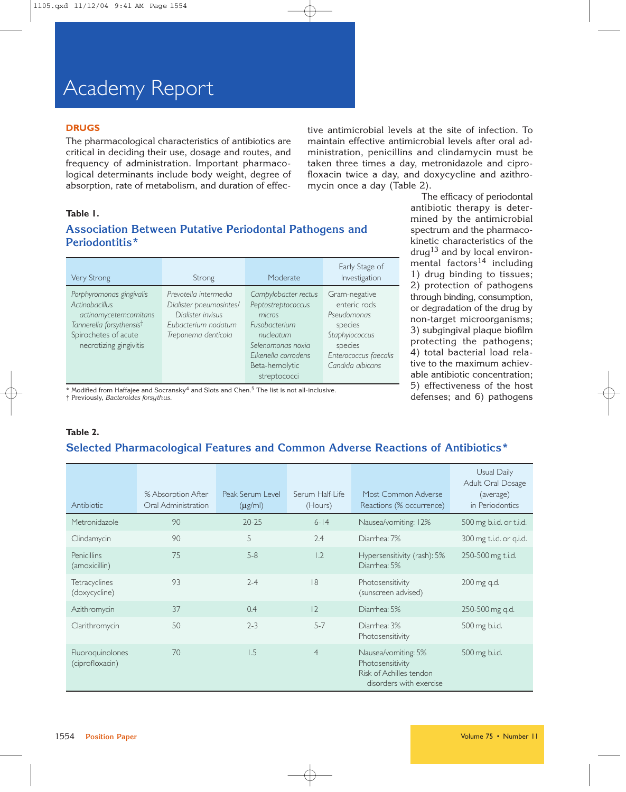# Academy Report

## **DRUGS**

The pharmacological characteristics of antibiotics are critical in deciding their use, dosage and routes, and frequency of administration. Important pharmacological determinants include body weight, degree of absorption, rate of metabolism, and duration of effective antimicrobial levels at the site of infection. To maintain effective antimicrobial levels after oral administration, penicillins and clindamycin must be taken three times a day, metronidazole and ciprofloxacin twice a day, and doxycycline and azithromycin once a day (Table 2).

> The efficacy of periodontal antibiotic therapy is determined by the antimicrobial spectrum and the pharmacokinetic characteristics of the drug<sup>13</sup> and by local environmental factors $14$  including 1) drug binding to tissues; 2) protection of pathogens through binding, consumption, or degradation of the drug by non-target microorganisms; 3) subgingival plaque biofilm protecting the pathogens; 4) total bacterial load relative to the maximum achievable antibiotic concentration; 5) effectiveness of the host defenses; and 6) pathogens

## **Table 1.**

## **Association Between Putative Periodontal Pathogens and Periodontitis\***

| Very Strong                                                                                                                                                          | Strong                                                                                                              | Moderate                                                                                                                                                         | Early Stage of<br>Investigation                                                                                                   |
|----------------------------------------------------------------------------------------------------------------------------------------------------------------------|---------------------------------------------------------------------------------------------------------------------|------------------------------------------------------------------------------------------------------------------------------------------------------------------|-----------------------------------------------------------------------------------------------------------------------------------|
| Porphyromonas gingivalis<br><b>Actinobacillus</b><br>actinomycetemcomitans<br>Tannerella forsythensis <sup>†</sup><br>Spirochetes of acute<br>necrotizing gingivitis | Prevotella intermedia<br>Dialister pneumosintes/<br>Dialister invisus<br>Eubacterium nodatum<br>Treponema denticola | Campylobacter rectus<br>Peptostreptococcus<br>micros<br>Fusobacterium<br>nucleatum<br>Selenomonas noxia<br>Eikenella corrodens<br>Beta-hemolytic<br>streptococci | Gram-negative<br>enteric rods<br>Pseudomonas<br>species<br>Staphylococcus<br>species<br>Enterococcus faecalis<br>Candida albicans |

 $*$  Modified from Haffajee and Socransky<sup>4</sup> and Slots and Chen.<sup>5</sup> The list is not all-inclusive.

† Previously, *Bacteroides forsythus.*

## **Table 2.**

## **Selected Pharmacological Features and Common Adverse Reactions of Antibiotics\***

| Antibiotic                            | % Absorption After<br>Oral Administration | Peak Serum Level<br>$(\mu$ g/ml) | Serum Half-Life<br>(Hours) | Most Common Adverse<br>Reactions (% occurrence)                                               | Usual Daily<br>Adult Oral Dosage<br>(average)<br>in Periodontics |
|---------------------------------------|-------------------------------------------|----------------------------------|----------------------------|-----------------------------------------------------------------------------------------------|------------------------------------------------------------------|
| Metronidazole                         | 90                                        | $20 - 25$                        | $6 - 14$                   | Nausea/vomiting: 12%                                                                          | 500 mg b.i.d. or t.i.d.                                          |
| Clindamycin                           | 90                                        | 5                                | 2.4                        | Diarrhea: 7%                                                                                  | 300 mg t.i.d. or q.i.d.                                          |
| <b>Penicillins</b><br>(amoxicillin)   | 75                                        | $5 - 8$                          | 1.2                        | Hypersensitivity (rash): 5%<br>Diarrhea: 5%                                                   | 250-500 mg t.i.d.                                                |
| <b>Tetracyclines</b><br>(doxycycline) | 93                                        | $2 - 4$                          | 18                         | Photosensitivity<br>(sunscreen advised)                                                       | 200 mg q.d.                                                      |
| Azithromycin                          | 37                                        | 0.4                              | 2                          | Diarrhea: 5%                                                                                  | 250-500 mg g.d.                                                  |
| Clarithromycin                        | 50                                        | $2 - 3$                          | $5 - 7$                    | Diarrhea: 3%<br>Photosensitivity                                                              | 500 mg b.i.d.                                                    |
| Fluoroquinolones<br>(ciprofloxacin)   | 70                                        | 1.5                              | $\overline{4}$             | Nausea/vomiting: 5%<br>Photosensitivity<br>Risk of Achilles tendon<br>disorders with exercise | 500 mg b.i.d.                                                    |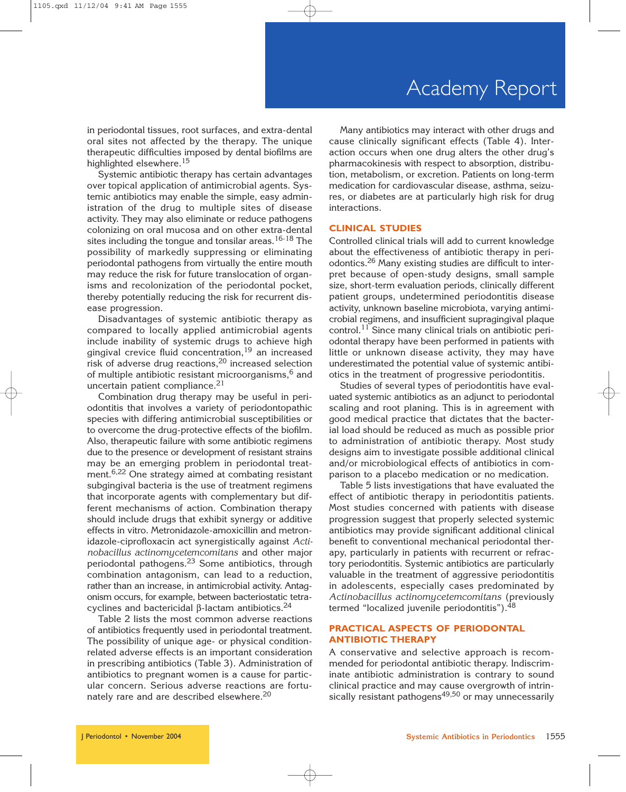in periodontal tissues, root surfaces, and extra-dental oral sites not affected by the therapy. The unique therapeutic difficulties imposed by dental biofilms are highlighted elsewhere.<sup>15</sup>

Systemic antibiotic therapy has certain advantages over topical application of antimicrobial agents. Systemic antibiotics may enable the simple, easy administration of the drug to multiple sites of disease activity. They may also eliminate or reduce pathogens colonizing on oral mucosa and on other extra-dental sites including the tongue and tonsilar areas.<sup>16-18</sup> The possibility of markedly suppressing or eliminating periodontal pathogens from virtually the entire mouth may reduce the risk for future translocation of organisms and recolonization of the periodontal pocket, thereby potentially reducing the risk for recurrent disease progression.

Disadvantages of systemic antibiotic therapy as compared to locally applied antimicrobial agents include inability of systemic drugs to achieve high gingival crevice fluid concentration,<sup>19</sup> an increased risk of adverse drug reactions,  $20$  increased selection of multiple antibiotic resistant microorganisms, $6$  and uncertain patient compliance.<sup>21</sup>

Combination drug therapy may be useful in periodontitis that involves a variety of periodontopathic species with differing antimicrobial susceptibilities or to overcome the drug-protective effects of the biofilm. Also, therapeutic failure with some antibiotic regimens due to the presence or development of resistant strains may be an emerging problem in periodontal treatment.6,22 One strategy aimed at combating resistant subgingival bacteria is the use of treatment regimens that incorporate agents with complementary but different mechanisms of action. Combination therapy should include drugs that exhibit synergy or additive effects in vitro. Metronidazole-amoxicillin and metronidazole-ciprofloxacin act synergistically against *Actinobacillus actinomycetemcomitans* and other major periodontal pathogens.23 Some antibiotics, through combination antagonism, can lead to a reduction, rather than an increase, in antimicrobial activity. Antagonism occurs, for example, between bacteriostatic tetracyclines and bactericidal β-lactam antibiotics.<sup>24</sup>

Table 2 lists the most common adverse reactions of antibiotics frequently used in periodontal treatment. The possibility of unique age- or physical conditionrelated adverse effects is an important consideration in prescribing antibiotics (Table 3). Administration of antibiotics to pregnant women is a cause for particular concern. Serious adverse reactions are fortunately rare and are described elsewhere.<sup>20</sup>

Many antibiotics may interact with other drugs and cause clinically significant effects (Table 4). Interaction occurs when one drug alters the other drug's pharmacokinesis with respect to absorption, distribution, metabolism, or excretion. Patients on long-term medication for cardiovascular disease, asthma, seizures, or diabetes are at particularly high risk for drug interactions.

#### **CLINICAL STUDIES**

Controlled clinical trials will add to current knowledge about the effectiveness of antibiotic therapy in periodontics.26 Many existing studies are difficult to interpret because of open-study designs, small sample size, short-term evaluation periods, clinically different patient groups, undetermined periodontitis disease activity, unknown baseline microbiota, varying antimicrobial regimens, and insufficient supragingival plaque control.11 Since many clinical trials on antibiotic periodontal therapy have been performed in patients with little or unknown disease activity, they may have underestimated the potential value of systemic antibiotics in the treatment of progressive periodontitis.

Studies of several types of periodontitis have evaluated systemic antibiotics as an adjunct to periodontal scaling and root planing. This is in agreement with good medical practice that dictates that the bacterial load should be reduced as much as possible prior to administration of antibiotic therapy. Most study designs aim to investigate possible additional clinical and/or microbiological effects of antibiotics in comparison to a placebo medication or no medication.

Table 5 lists investigations that have evaluated the effect of antibiotic therapy in periodontitis patients. Most studies concerned with patients with disease progression suggest that properly selected systemic antibiotics may provide significant additional clinical benefit to conventional mechanical periodontal therapy, particularly in patients with recurrent or refractory periodontitis. Systemic antibiotics are particularly valuable in the treatment of aggressive periodontitis in adolescents, especially cases predominated by *Actinobacillus actinomycetemcomitans* (previously termed "localized juvenile periodontitis").<sup>48</sup>

## **PRACTICAL ASPECTS OF PERIODONTAL ANTIBIOTIC THERAPY**

A conservative and selective approach is recommended for periodontal antibiotic therapy. Indiscriminate antibiotic administration is contrary to sound clinical practice and may cause overgrowth of intrinsically resistant pathogens<sup>49,50</sup> or may unnecessarily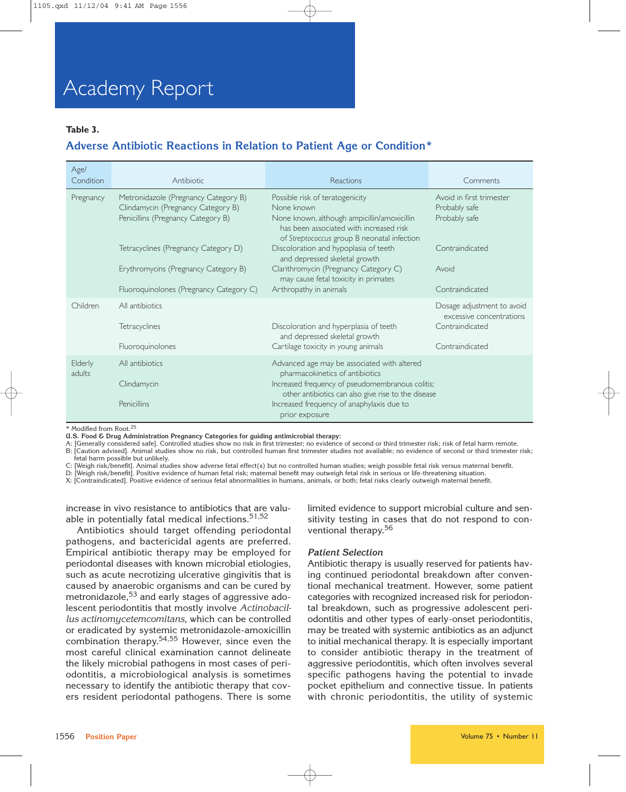## **Table 3.**

## **Adverse Antibiotic Reactions in Relation to Patient Age or Condition\***

| Age/<br>Condition | Antibiotic                                                                                                       | Reactions                                                                                                                                                                              | Comments                                                   |
|-------------------|------------------------------------------------------------------------------------------------------------------|----------------------------------------------------------------------------------------------------------------------------------------------------------------------------------------|------------------------------------------------------------|
| Pregnancy         | Metronidazole (Pregnancy Category B)<br>Clindamycin (Pregnancy Category B)<br>Penicillins (Pregnancy Category B) | Possible risk of teratogenicity<br>None known<br>None known, although ampicillin/amoxicillin<br>has been associated with increased risk<br>of Streptococcus group B neonatal infection | Avoid in first trimester<br>Probably safe<br>Probably safe |
|                   | Tetracyclines (Pregnancy Category D)                                                                             | Discoloration and hypoplasia of teeth<br>and depressed skeletal growth                                                                                                                 | Contraindicated                                            |
|                   | Erythromycins (Pregnancy Category B)                                                                             | Clarithromycin (Pregnancy Category C)<br>may cause fetal toxicity in primates                                                                                                          | Avoid                                                      |
|                   | Fluoroquinolones (Pregnancy Category C)                                                                          | Arthropathy in animals                                                                                                                                                                 | Contraindicated                                            |
| Children          | All antibiotics                                                                                                  |                                                                                                                                                                                        | Dosage adjustment to avoid<br>excessive concentrations     |
|                   | Tetracyclines                                                                                                    | Discoloration and hyperplasia of teeth<br>and depressed skeletal growth                                                                                                                | Contraindicated                                            |
|                   | Fluoroquinolones                                                                                                 | Cartilage toxicity in young animals                                                                                                                                                    | Contraindicated                                            |
| Elderly<br>adults | All antibiotics                                                                                                  | Advanced age may be associated with altered<br>pharmacokinetics of antibiotics                                                                                                         |                                                            |
|                   | Clindamycin                                                                                                      | Increased frequency of pseudomembranous colitis;<br>other antibiotics can also give rise to the disease                                                                                |                                                            |
|                   | Penicillins                                                                                                      | Increased frequency of anaphylaxis due to<br>prior exposure                                                                                                                            |                                                            |

\* Modified from Root.<sup>25</sup>

**U.S. Food & Drug Administration Pregnancy Categories for guiding antimicrobial therapy:**

A: [Generally considered safe]. Controlled studies show no risk in first trimester; no evidence of second or third trimester risk; risk of fetal harm remote. B: [Caution advised]. Animal studies show no risk, but controlled human first trimester studies not available; no evidence of second or third trimester risk; fetal harm possible but unlikely.

C: [Weigh risk/benefit]. Animal studies show adverse fetal effect(s) but no controlled human studies; weigh possible fetal risk versus maternal benefit.

D: [Weigh risk/benefit]. Positive evidence of human fetal risk; maternal benefit may outweigh fetal risk in serious or life-threatening situation.

X: [Contraindicated]. Positive evidence of serious fetal abnormalities in humans, animals, or both; fetal risks clearly outweigh maternal benefit.

increase in vivo resistance to antibiotics that are valuable in potentially fatal medical infections.<sup>51,52</sup>

Antibiotics should target offending periodontal pathogens, and bactericidal agents are preferred. Empirical antibiotic therapy may be employed for periodontal diseases with known microbial etiologies, such as acute necrotizing ulcerative gingivitis that is caused by anaerobic organisms and can be cured by metronidazole,<sup>53</sup> and early stages of aggressive adolescent periodontitis that mostly involve *Actinobacillus actinomycetemcomitans*, which can be controlled or eradicated by systemic metronidazole-amoxicillin combination therapy.54,55 However, since even the most careful clinical examination cannot delineate the likely microbial pathogens in most cases of periodontitis, a microbiological analysis is sometimes necessary to identify the antibiotic therapy that covers resident periodontal pathogens. There is some

limited evidence to support microbial culture and sensitivity testing in cases that do not respond to conventional therapy.<sup>56</sup>

#### *Patient Selection*

Antibiotic therapy is usually reserved for patients having continued periodontal breakdown after conventional mechanical treatment. However, some patient categories with recognized increased risk for periodontal breakdown, such as progressive adolescent periodontitis and other types of early-onset periodontitis, may be treated with systemic antibiotics as an adjunct to initial mechanical therapy. It is especially important to consider antibiotic therapy in the treatment of aggressive periodontitis, which often involves several specific pathogens having the potential to invade pocket epithelium and connective tissue. In patients with chronic periodontitis, the utility of systemic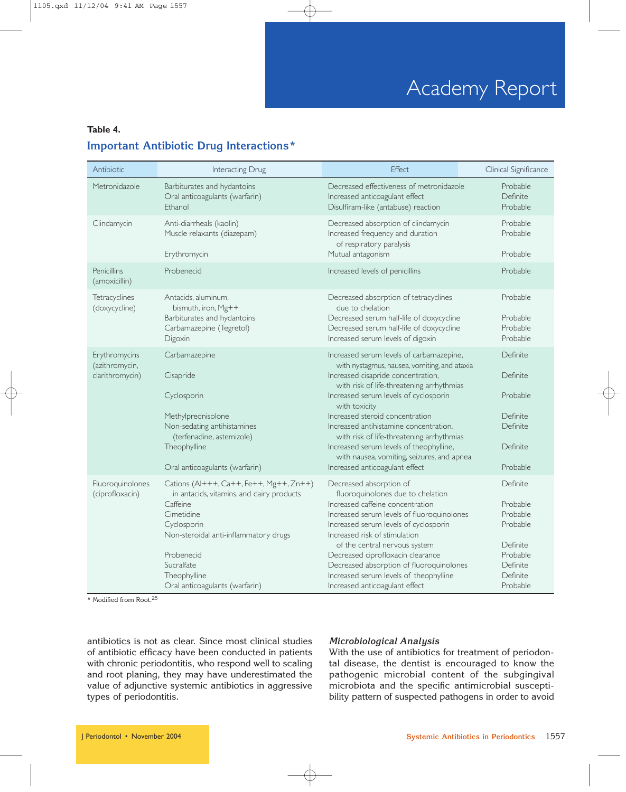## **Table 4.**

## **Important Antibiotic Drug Interactions\***

| Antibiotic                                         | Interacting Drug                                                                                                                                                                                                                                     | <b>Effect</b>                                                                                                                                                                                                                                                                                                                                                                                                                                                                              | Clinical Significance                                                                                    |
|----------------------------------------------------|------------------------------------------------------------------------------------------------------------------------------------------------------------------------------------------------------------------------------------------------------|--------------------------------------------------------------------------------------------------------------------------------------------------------------------------------------------------------------------------------------------------------------------------------------------------------------------------------------------------------------------------------------------------------------------------------------------------------------------------------------------|----------------------------------------------------------------------------------------------------------|
| Metronidazole                                      | Barbiturates and hydantoins<br>Oral anticoagulants (warfarin)<br>Ethanol                                                                                                                                                                             | Decreased effectiveness of metronidazole<br>Increased anticoagulant effect<br>Disulfiram-like (antabuse) reaction                                                                                                                                                                                                                                                                                                                                                                          | Probable<br>Definite<br>Probable                                                                         |
| Clindamycin                                        | Anti-diarrheals (kaolin)<br>Muscle relaxants (diazepam)<br>Erythromycin                                                                                                                                                                              | Decreased absorption of clindamycin<br>Increased frequency and duration<br>of respiratory paralysis<br>Mutual antagonism                                                                                                                                                                                                                                                                                                                                                                   | Probable<br>Probable<br>Probable                                                                         |
| Penicillins<br>(amoxicillin)                       | Probenecid                                                                                                                                                                                                                                           | Increased levels of penicillins                                                                                                                                                                                                                                                                                                                                                                                                                                                            | Probable                                                                                                 |
| Tetracyclines<br>(doxycycline)                     | Antacids, aluminum,<br>bismuth, iron, Mg++<br>Barbiturates and hydantoins<br>Carbamazepine (Tegretol)<br>Digoxin                                                                                                                                     | Decreased absorption of tetracyclines<br>due to chelation<br>Decreased serum half-life of doxycycline<br>Decreased serum half-life of doxycycline<br>Increased serum levels of digoxin                                                                                                                                                                                                                                                                                                     | Probable<br>Probable<br>Probable<br>Probable                                                             |
| Erythromycins<br>(azithromycin,<br>clarithromycin) | Carbamazepine<br>Cisapride<br>Cyclosporin<br>Methylprednisolone<br>Non-sedating antihistamines<br>(terfenadine, astemizole)<br>Theophylline<br>Oral anticoagulants (warfarin)                                                                        | Increased serum levels of carbamazepine,<br>with nystagmus, nausea, vomiting, and ataxia<br>Increased cisapride concentration,<br>with risk of life-threatening arrhythmias<br>Increased serum levels of cyclosporin<br>with toxicity<br>Increased steroid concentration<br>Increased antihistamine concentration,<br>with risk of life-threatening arrhythmias<br>Increased serum levels of theophylline,<br>with nausea, vomiting, seizures, and apnea<br>Increased anticoagulant effect | Definite<br>Definite<br>Probable<br>Definite<br>Definite<br>Definite<br>Probable                         |
| Fluoroquinolones<br>(ciprofloxacin)                | Cations (Al+++, Ca++, Fe++, Mg++, Zn++)<br>in antacids, vitamins, and dairy products<br>Caffeine<br>Cimetidine<br>Cyclosporin<br>Non-steroidal anti-inflammatory drugs<br>Probenecid<br>Sucralfate<br>Theophylline<br>Oral anticoagulants (warfarin) | Decreased absorption of<br>fluoroquinolones due to chelation<br>Increased caffeine concentration<br>Increased serum levels of fluoroquinolones<br>Increased serum levels of cyclosporin<br>Increased risk of stimulation<br>of the central nervous system<br>Decreased ciprofloxacin clearance<br>Decreased absorption of fluoroquinolones<br>Increased serum levels of theophylline<br>Increased anticoagulant effect                                                                     | Definite<br>Probable<br>Probable<br>Probable<br>Definite<br>Probable<br>Definite<br>Definite<br>Probable |

\* Modified from Root.<sup>25</sup>

antibiotics is not as clear. Since most clinical studies of antibiotic efficacy have been conducted in patients with chronic periodontitis, who respond well to scaling and root planing, they may have underestimated the value of adjunctive systemic antibiotics in aggressive types of periodontitis.

## *Microbiological Analysis*

With the use of antibiotics for treatment of periodontal disease, the dentist is encouraged to know the pathogenic microbial content of the subgingival microbiota and the specific antimicrobial susceptibility pattern of suspected pathogens in order to avoid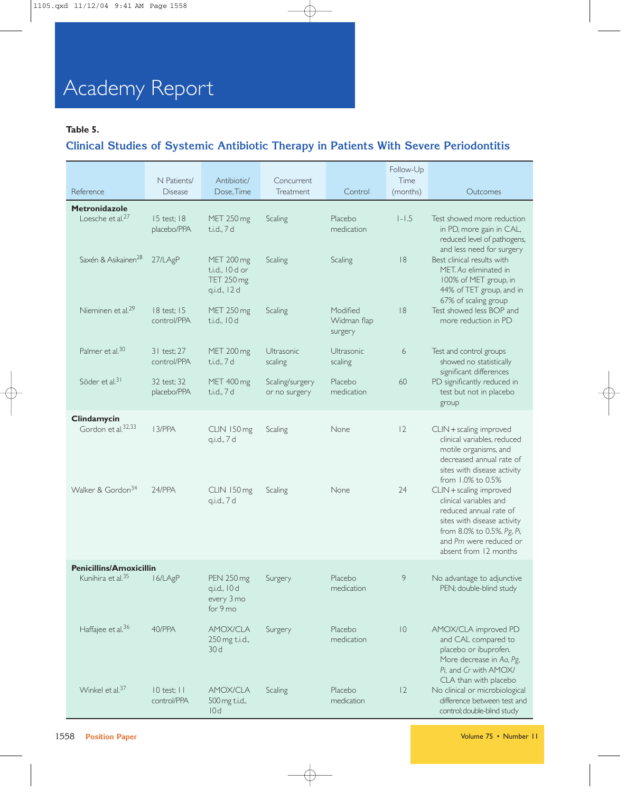## **Table 5.**

## **Clinical Studies of Systemic Antibiotic Therapy in Patients With Severe Periodontitis**

|                                                      | N Patients/                    | Antibiotic/                                                 | Concurrent                       |                                    | Follow-Up<br>Time |                                                                                                                                                                                                                        |
|------------------------------------------------------|--------------------------------|-------------------------------------------------------------|----------------------------------|------------------------------------|-------------------|------------------------------------------------------------------------------------------------------------------------------------------------------------------------------------------------------------------------|
| Reference                                            | <b>Disease</b>                 | Dose, Time                                                  | <b>Treatment</b>                 | Control                            | (months)          | Outcomes                                                                                                                                                                                                               |
| <b>Metronidazole</b><br>Loesche et al. <sup>27</sup> | 15 test; 18<br>placebo/PPA     | MET 250 mg<br>t.i.d., 7 d                                   | Scaling                          | Placebo<br>medication              | $1 - 1.5$         | Test showed more reduction<br>in PD, more gain in CAL,<br>reduced level of pathogens,                                                                                                                                  |
| Saxén & Asikainen <sup>28</sup>                      | 27/LAgP                        | MET 200 mg<br>t.i.d., 10 d or<br>TET 250 mg<br>q.i.d., 12 d | Scaling                          | Scaling                            | 8                 | and less need for surgery<br>Best clinical results with<br>MET. Ag eliminated in<br>100% of MET group, in<br>44% of TET group, and in                                                                                  |
| Nieminen et al. <sup>29</sup>                        | 18 test; 15<br>control/PPA     | MET 250 mg<br>t.i.d., 10d                                   | Scaling                          | Modified<br>Widman flap<br>surgery | 8                 | 67% of scaling group<br>Test showed less BOP and<br>more reduction in PD                                                                                                                                               |
| Palmer et al. <sup>30</sup>                          | 31 test; 27<br>control/PPA     | MET 200 mg<br>t.i.d., 7 d                                   | Ultrasonic<br>scaling            | Ultrasonic<br>scaling              | 6                 | Test and control groups<br>showed no statistically                                                                                                                                                                     |
| Söder et al. <sup>31</sup>                           | 32 test; 32<br>placebo/PPA     | MET 400 mg<br>t.i.d., 7 d                                   | Scaling/surgery<br>or no surgery | Placebo<br>medication              | 60                | significant differences<br>PD significantly reduced in<br>test but not in placebo<br>group                                                                                                                             |
| Clindamycin<br>Gordon et al. <sup>32,33</sup>        | 13/PPA                         | CLIN 150 mg<br>q.i.d., 7 d                                  | Scaling                          | None                               | 12                | CLIN + scaling improved<br>clinical variables, reduced<br>motile organisms, and<br>decreased annual rate of<br>sites with disease activity                                                                             |
| Walker & Gordon <sup>34</sup>                        | 24/PPA                         | CLIN 150 mg<br>q.i.d., 7 d                                  | Scaling                          | None                               | 24                | from $1.0\%$ to $0.5\%$<br>CLIN + scaling improved<br>clinical variables and<br>reduced annual rate of<br>sites with disease activity<br>from 8.0% to 0.5%. Pg, Pi,<br>and Pm were reduced or<br>absent from 12 months |
| <b>Penicillins/Amoxicillin</b>                       |                                |                                                             |                                  |                                    |                   |                                                                                                                                                                                                                        |
| Kunihira et al. <sup>35</sup> 16/LAgP                |                                | <b>PEN 250 mg</b><br>q.i.d., 10 d<br>every 3 mo<br>for 9 mo | Surgery                          | Placebo<br>medication              | 9                 | No advantage to adjunctive<br>PEN; double-blind study                                                                                                                                                                  |
| Haffajee et al. <sup>36</sup>                        | 40/PPA                         | <b>AMOX/CLA</b><br>250 mg t.i.d.,<br>30 d                   | Surgery                          | Placebo<br>medication              | $\overline{10}$   | AMOX/CLA improved PD<br>and CAL compared to<br>placebo or ibuprofen.<br>More decrease in Aa, Pg,<br>Pi, and Cr with AMOX/<br>CLA than with placebo                                                                     |
| Winkel et al. <sup>37</sup>                          | $10$ test; $11$<br>control/PPA | <b>AMOX/CLA</b><br>500 mg t.i.d.,<br>10d                    | Scaling                          | Placebo<br>medication              | 12                | No clinical or microbiological<br>difference between test and<br>control; double-blind study                                                                                                                           |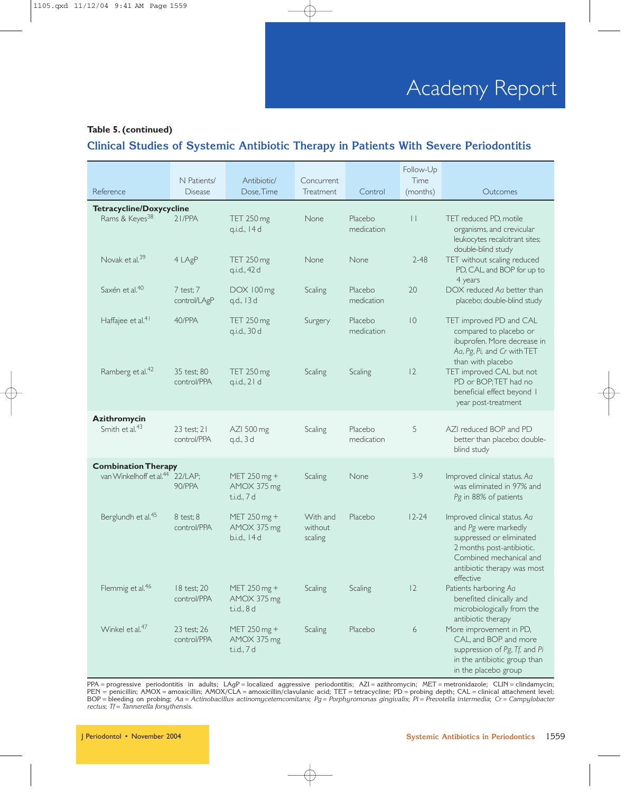## **Table 5. (continued)**

## **Clinical Studies of Systemic Antibiotic Therapy in Patients With Severe Periodontitis**

|                                             |                                |                                            |                                |                       | Follow-Up        |                                                                                                                                                                                      |
|---------------------------------------------|--------------------------------|--------------------------------------------|--------------------------------|-----------------------|------------------|--------------------------------------------------------------------------------------------------------------------------------------------------------------------------------------|
| Reference                                   | N Patients/<br><b>Disease</b>  | Antibiotic/<br>Dose, Time                  | Concurrent<br>Treatment        | Control               | Time<br>(months) | Outcomes                                                                                                                                                                             |
| Tetracycline/Doxycycline                    |                                |                                            |                                |                       |                  |                                                                                                                                                                                      |
| Rams & Keyes <sup>38</sup>                  | $21$ /PPA                      | TET 250 mg<br>q.i.d., 14 d                 | None                           | Placebo<br>medication | $\mathbf{H}$     | TET reduced PD, motile<br>organisms, and crevicular<br>leukocytes recalcitrant sites;<br>double-blind study                                                                          |
| Novak et al. <sup>39</sup>                  | 4 LAgP                         | TET 250 mg<br>q.i.d., 42 d                 | None                           | None                  | $2 - 48$         | TET without scaling reduced<br>PD, CAL, and BOP for up to<br>4 years                                                                                                                 |
| Saxén et al. <sup>40</sup>                  | 7 test; 7<br>control/LAgP      | DOX 100 mg<br>q.d., 13 d                   | Scaling                        | Placebo<br>medication | 20               | DOX reduced Aa better than<br>placebo; double-blind study                                                                                                                            |
| Haffajee et al. <sup>41</sup>               | 40/PPA                         | TET 250 mg<br>q.i.d., 30 d                 | Surgery                        | Placebo<br>medication | $\overline{10}$  | TET improved PD and CAL<br>compared to placebo or<br>ibuprofen. More decrease in<br>Aa, Pg, Pi, and Cr with TET<br>than with placebo                                                 |
| Ramberg et al. <sup>42</sup>                | 35 test; 80<br>control/PPA     | TET 250 mg<br>q.i.d., 21 d                 | Scaling                        | <b>Scaling</b>        | 12               | TET improved CAL but not<br>PD or BOP;TET had no<br>beneficial effect beyond I<br>year post-treatment                                                                                |
| Azithromycin<br>Smith et al. <sup>43</sup>  | $23$ test; $21$<br>control/PPA | AZI 500 mg<br>q.d., 3 d                    | Scaling                        | Placebo<br>medication | 5                | AZI reduced BOP and PD<br>better than placebo; double-<br>blind study                                                                                                                |
| <b>Combination Therapy</b>                  |                                |                                            |                                |                       |                  |                                                                                                                                                                                      |
| van Winkelhoff et al. <sup>44</sup> 22/LAP; | 90/PPA                         | MET 250 mg +<br>AMOX 375 mg<br>t.i.d., 7 d | Scaling                        | None                  | $3-9$            | Improved clinical status. Aa<br>was eliminated in 97% and<br>Pg in 88% of patients                                                                                                   |
| Berglundh et al. <sup>45</sup>              | 8 test; 8<br>control/PPA       | MET 250 mg +<br>AMOX 375 mg<br>b.i.d., 14d | With and<br>without<br>scaling | Placebo               | $12 - 24$        | Improved clinical status. Aa<br>and Pg were markedly<br>suppressed or eliminated<br>2 months post-antibiotic.<br>Combined mechanical and<br>antibiotic therapy was most<br>effective |
| Flemmig et al. <sup>46</sup>                | 18 test; 20<br>control/PPA     | MET 250 mg +<br>AMOX 375 mg<br>t.i.d., 8 d | Scaling                        | Scaling               | 2                | Patients harboring Aa<br>benefited clinically and<br>microbiologically from the<br>antibiotic therapy                                                                                |
| Winkel et al. <sup>47</sup>                 | 23 test; 26<br>control/PPA     | MET 250 mg +<br>AMOX 375 mg<br>t.i.d., 7 d | Scaling                        | Placebo               | 6                | More improvement in PD,<br>CAL, and BOP and more<br>suppression of Pg, Tf, and Pi<br>in the antibiotic group than<br>in the placebo group                                            |

PPA = progressive periodontitis in adults; LAgP = localized aggressive periodontitis; AZI = azithromycin; MET = metronidazole; CLIN = clindamycin; PEN = penicillin; AMOX = amoxicillin; AMOX/CLA = amoxicillin/clavulanic acid; TET = tetracycline; PD = probing depth; CAL = clinical attachment level; BOP = bleeding on probing; *Aa* = *Actinobacillus actinomycetemcomitans*; *Pg* = *Porphyromonas gingivalis*; *Pi* = *Prevotella intermedia*; *Cr* = *Campylobacter rectus*; *Tf* = *Tannerella forsythensis.*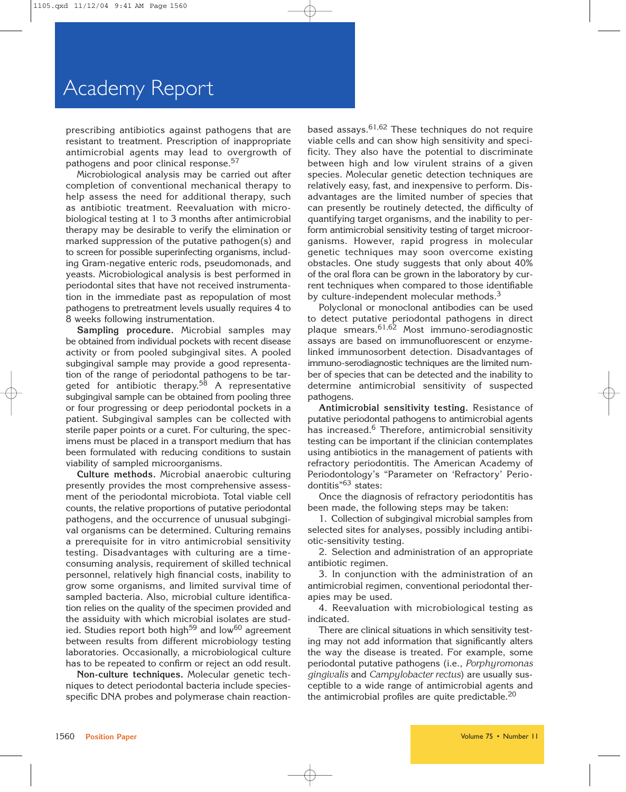prescribing antibiotics against pathogens that are resistant to treatment. Prescription of inappropriate antimicrobial agents may lead to overgrowth of pathogens and poor clinical response.<sup>57</sup>

Microbiological analysis may be carried out after completion of conventional mechanical therapy to help assess the need for additional therapy, such as antibiotic treatment. Reevaluation with microbiological testing at 1 to 3 months after antimicrobial therapy may be desirable to verify the elimination or marked suppression of the putative pathogen(s) and to screen for possible superinfecting organisms, including Gram-negative enteric rods, pseudomonads, and yeasts. Microbiological analysis is best performed in periodontal sites that have not received instrumentation in the immediate past as repopulation of most pathogens to pretreatment levels usually requires 4 to 8 weeks following instrumentation.

**Sampling procedure.** Microbial samples may be obtained from individual pockets with recent disease activity or from pooled subgingival sites. A pooled subgingival sample may provide a good representation of the range of periodontal pathogens to be targeted for antibiotic therapy.<sup>58</sup> A representative subgingival sample can be obtained from pooling three or four progressing or deep periodontal pockets in a patient. Subgingival samples can be collected with sterile paper points or a curet. For culturing, the specimens must be placed in a transport medium that has been formulated with reducing conditions to sustain viability of sampled microorganisms.

**Culture methods.** Microbial anaerobic culturing presently provides the most comprehensive assessment of the periodontal microbiota. Total viable cell counts, the relative proportions of putative periodontal pathogens, and the occurrence of unusual subgingival organisms can be determined. Culturing remains a prerequisite for in vitro antimicrobial sensitivity testing. Disadvantages with culturing are a timeconsuming analysis, requirement of skilled technical personnel, relatively high financial costs, inability to grow some organisms, and limited survival time of sampled bacteria. Also, microbial culture identification relies on the quality of the specimen provided and the assiduity with which microbial isolates are studied. Studies report both high<sup>59</sup> and low<sup>60</sup> agreement between results from different microbiology testing laboratories. Occasionally, a microbiological culture has to be repeated to confirm or reject an odd result.

**Non-culture techniques.** Molecular genetic techniques to detect periodontal bacteria include speciesspecific DNA probes and polymerase chain reactionbased assays.  $61,62$  These techniques do not require viable cells and can show high sensitivity and specificity. They also have the potential to discriminate between high and low virulent strains of a given species. Molecular genetic detection techniques are relatively easy, fast, and inexpensive to perform. Disadvantages are the limited number of species that can presently be routinely detected, the difficulty of quantifying target organisms, and the inability to perform antimicrobial sensitivity testing of target microorganisms. However, rapid progress in molecular genetic techniques may soon overcome existing obstacles. One study suggests that only about 40% of the oral flora can be grown in the laboratory by current techniques when compared to those identifiable by culture-independent molecular methods.<sup>3</sup>

Polyclonal or monoclonal antibodies can be used to detect putative periodontal pathogens in direct plaque smears.61,62 Most immuno-serodiagnostic assays are based on immunofluorescent or enzymelinked immunosorbent detection. Disadvantages of immuno-serodiagnostic techniques are the limited number of species that can be detected and the inability to determine antimicrobial sensitivity of suspected pathogens.

**Antimicrobial sensitivity testing.** Resistance of putative periodontal pathogens to antimicrobial agents has increased.<sup>6</sup> Therefore, antimicrobial sensitivity testing can be important if the clinician contemplates using antibiotics in the management of patients with refractory periodontitis. The American Academy of Periodontology's "Parameter on 'Refractory' Periodontitis"63 states:

Once the diagnosis of refractory periodontitis has been made, the following steps may be taken:

1. Collection of subgingival microbial samples from selected sites for analyses, possibly including antibiotic-sensitivity testing.

2. Selection and administration of an appropriate antibiotic regimen.

3. In conjunction with the administration of an antimicrobial regimen, conventional periodontal therapies may be used.

4. Reevaluation with microbiological testing as indicated.

There are clinical situations in which sensitivity testing may not add information that significantly alters the way the disease is treated. For example, some periodontal putative pathogens (i.e., *Porphyromonas gingivalis* and *Campylobacter rectus*) are usually susceptible to a wide range of antimicrobial agents and the antimicrobial profiles are quite predictable. $20$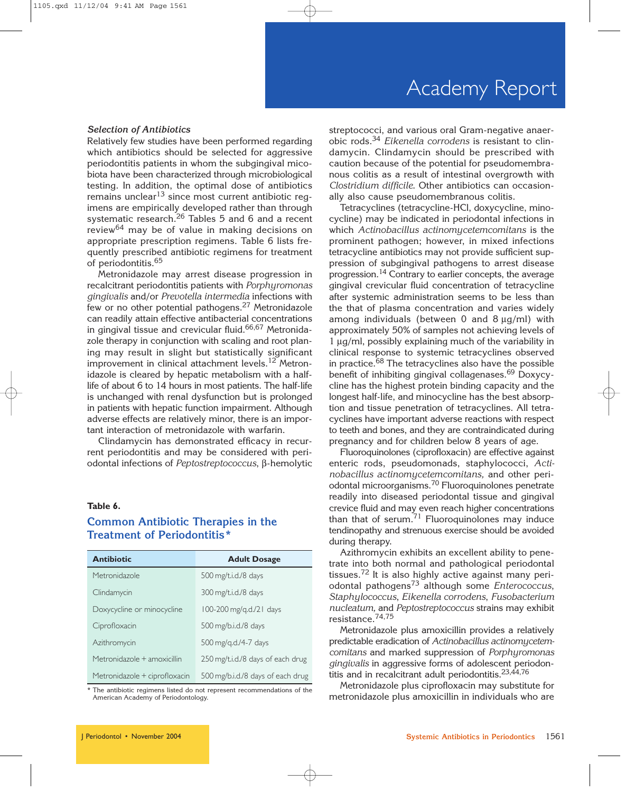## *Selection of Antibiotics*

Relatively few studies have been performed regarding which antibiotics should be selected for aggressive periodontitis patients in whom the subgingival micobiota have been characterized through microbiological testing. In addition, the optimal dose of antibiotics remains unclear<sup>13</sup> since most current antibiotic reqimens are empirically developed rather than through systematic research.<sup>26</sup> Tables 5 and 6 and a recent review<sup>64</sup> may be of value in making decisions on appropriate prescription regimens. Table 6 lists frequently prescribed antibiotic regimens for treatment of periodontitis.<sup>65</sup>

Metronidazole may arrest disease progression in recalcitrant periodontitis patients with *Porphyromonas gingivalis* and/or *Prevotella intermedia* infections with few or no other potential pathogens.<sup>27</sup> Metronidazole can readily attain effective antibacterial concentrations in gingival tissue and crevicular fluid.<sup>66,67</sup> Metronidazole therapy in conjunction with scaling and root planing may result in slight but statistically significant improvement in clinical attachment levels.<sup>12</sup> Metronidazole is cleared by hepatic metabolism with a halflife of about 6 to 14 hours in most patients. The half-life is unchanged with renal dysfunction but is prolonged in patients with hepatic function impairment. Although adverse effects are relatively minor, there is an important interaction of metronidazole with warfarin.

Clindamycin has demonstrated efficacy in recurrent periodontitis and may be considered with periodontal infections of *Peptostreptococcus*, β-hemolytic

#### **Table 6.**

## **Common Antibiotic Therapies in the Treatment of Periodontitis\***

| <b>Antibiotic</b>             | <b>Adult Dosage</b>               |
|-------------------------------|-----------------------------------|
| Metronidazole                 | 500 mg/t.i.d./8 days              |
| Clindamycin                   | 300 mg/t.i.d./8 days              |
| Doxycycline or minocycline    | 100-200 mg/g.d./21 days           |
| Ciprofloxacin                 | 500 mg/b.i.d./8 days              |
| Azithromycin                  | 500 mg/g.d./4-7 days              |
| Metronidazole + amoxicillin   | 250 mg/t.i.d./8 days of each drug |
| Metronidazole + ciprofloxacin | 500 mg/b.i.d./8 days of each drug |

\* The antibiotic regimens listed do not represent recommendations of the American Academy of Periodontology.

streptococci, and various oral Gram-negative anaerobic rods.34 *Eikenella corrodens* is resistant to clindamycin. Clindamycin should be prescribed with caution because of the potential for pseudomembranous colitis as a result of intestinal overgrowth with *Clostridium difficile*. Other antibiotics can occasionally also cause pseudomembranous colitis.

Tetracyclines (tetracycline-HCl, doxycycline, minocycline) may be indicated in periodontal infections in which *Actinobacillus actinomycetemcomitans* is the prominent pathogen; however, in mixed infections tetracycline antibiotics may not provide sufficient suppression of subgingival pathogens to arrest disease progression.14 Contrary to earlier concepts, the average gingival crevicular fluid concentration of tetracycline after systemic administration seems to be less than the that of plasma concentration and varies widely among individuals (between 0 and 8  $\mu$ g/ml) with approximately 50% of samples not achieving levels of 1 µg/ml, possibly explaining much of the variability in clinical response to systemic tetracyclines observed in practice.<sup>68</sup> The tetracyclines also have the possible benefit of inhibiting gingival collagenases.69 Doxycycline has the highest protein binding capacity and the longest half-life, and minocycline has the best absorption and tissue penetration of tetracyclines. All tetracyclines have important adverse reactions with respect to teeth and bones, and they are contraindicated during pregnancy and for children below 8 years of age.

Fluoroquinolones (ciprofloxacin) are effective against enteric rods, pseudomonads, staphylococci, *Actinobacillus actinomycetemcomitans,* and other periodontal microorganisms.70 Fluoroquinolones penetrate readily into diseased periodontal tissue and gingival crevice fluid and may even reach higher concentrations than that of serum. $71$  Fluoroquinolones may induce tendinopathy and strenuous exercise should be avoided during therapy.

Azithromycin exhibits an excellent ability to penetrate into both normal and pathological periodontal tissues.72 It is also highly active against many periodontal pathogens<sup>73</sup> although some *Enterococcus*, *Staphylococcus*, *Eikenella corrodens*, *Fusobacterium nucleatum,* and *Peptostreptococcus* strains may exhibit resistance.74,75

Metronidazole plus amoxicillin provides a relatively predictable eradication of *Actinobacillus actinomycetemcomitans* and marked suppression of *Porphyromonas gingivalis* in aggressive forms of adolescent periodontitis and in recalcitrant adult periodontitis.<sup>23,44,76</sup>

Metronidazole plus ciprofloxacin may substitute for metronidazole plus amoxicillin in individuals who are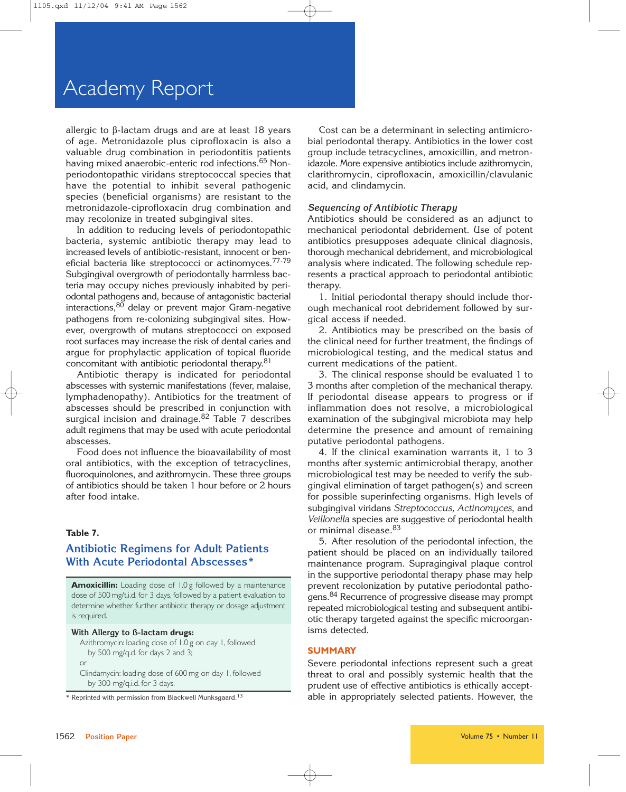allergic to β-lactam drugs and are at least 18 years of age. Metronidazole plus ciprofloxacin is also a valuable drug combination in periodontitis patients having mixed anaerobic-enteric rod infections.<sup>65</sup> Nonperiodontopathic viridans streptococcal species that have the potential to inhibit several pathogenic species (beneficial organisms) are resistant to the metronidazole-ciprofloxacin drug combination and may recolonize in treated subgingival sites.

In addition to reducing levels of periodontopathic bacteria, systemic antibiotic therapy may lead to increased levels of antibiotic-resistant, innocent or beneficial bacteria like streptococci or actinomyces.<sup>77-79</sup> Subgingival overgrowth of periodontally harmless bacteria may occupy niches previously inhabited by periodontal pathogens and, because of antagonistic bacterial interactions,80 delay or prevent major Gram-negative pathogens from re-colonizing subgingival sites. However, overgrowth of mutans streptococci on exposed root surfaces may increase the risk of dental caries and argue for prophylactic application of topical fluoride concomitant with antibiotic periodontal therapy.<sup>81</sup>

Antibiotic therapy is indicated for periodontal abscesses with systemic manifestations (fever, malaise, lymphadenopathy). Antibiotics for the treatment of abscesses should be prescribed in conjunction with surgical incision and drainage.<sup>82</sup> Table 7 describes adult regimens that may be used with acute periodontal abscesses.

Food does not influence the bioavailability of most oral antibiotics, with the exception of tetracyclines, fluoroquinolones, and azithromycin. These three groups of antibiotics should be taken 1 hour before or 2 hours after food intake.

## **Table 7.**

## **Antibiotic Regimens for Adult Patients With Acute Periodontal Abscesses\***

**Amoxicillin:** Loading dose of 1.0 g followed by a maintenance dose of 500 mg/t.i.d. for 3 days, followed by a patient evaluation to determine whether further antibiotic therapy or dosage adjustment is required.

#### **With Allergy to ß-lactam drugs:**

Azithromycin: loading dose of 1.0 g on day 1, followed by 500 mg/q.d. for days 2 and 3; or

Clindamycin: loading dose of 600 mg on day 1, followed by 300 mg/q.i.d. for 3 days.

Cost can be a determinant in selecting antimicrobial periodontal therapy. Antibiotics in the lower cost group include tetracyclines, amoxicillin, and metronidazole. More expensive antibiotics include azithromycin, clarithromycin, ciprofloxacin, amoxicillin/clavulanic acid, and clindamycin.

#### *Sequencing of Antibiotic Therapy*

Antibiotics should be considered as an adjunct to mechanical periodontal debridement. Use of potent antibiotics presupposes adequate clinical diagnosis, thorough mechanical debridement, and microbiological analysis where indicated. The following schedule represents a practical approach to periodontal antibiotic therapy.

1. Initial periodontal therapy should include thorough mechanical root debridement followed by surgical access if needed.

2. Antibiotics may be prescribed on the basis of the clinical need for further treatment, the findings of microbiological testing, and the medical status and current medications of the patient.

3. The clinical response should be evaluated 1 to 3 months after completion of the mechanical therapy. If periodontal disease appears to progress or if inflammation does not resolve, a microbiological examination of the subgingival microbiota may help determine the presence and amount of remaining putative periodontal pathogens.

4. If the clinical examination warrants it, 1 to 3 months after systemic antimicrobial therapy, another microbiological test may be needed to verify the subgingival elimination of target pathogen(s) and screen for possible superinfecting organisms. High levels of subgingival viridans *Streptococcus, Actinomyces*, and *Veillonella* species are suggestive of periodontal health or minimal disease.<sup>83</sup>

5. After resolution of the periodontal infection, the patient should be placed on an individually tailored maintenance program. Supragingival plaque control in the supportive periodontal therapy phase may help prevent recolonization by putative periodontal pathogens.<sup>84</sup> Recurrence of progressive disease may prompt repeated microbiological testing and subsequent antibiotic therapy targeted against the specific microorganisms detected.

#### **SUMMARY**

Severe periodontal infections represent such a great threat to oral and possibly systemic health that the prudent use of effective antibiotics is ethically acceptable in appropriately selected patients. However, the

<sup>\*</sup> Reprinted with permission from Blackwell Munksgaard.<sup>13</sup>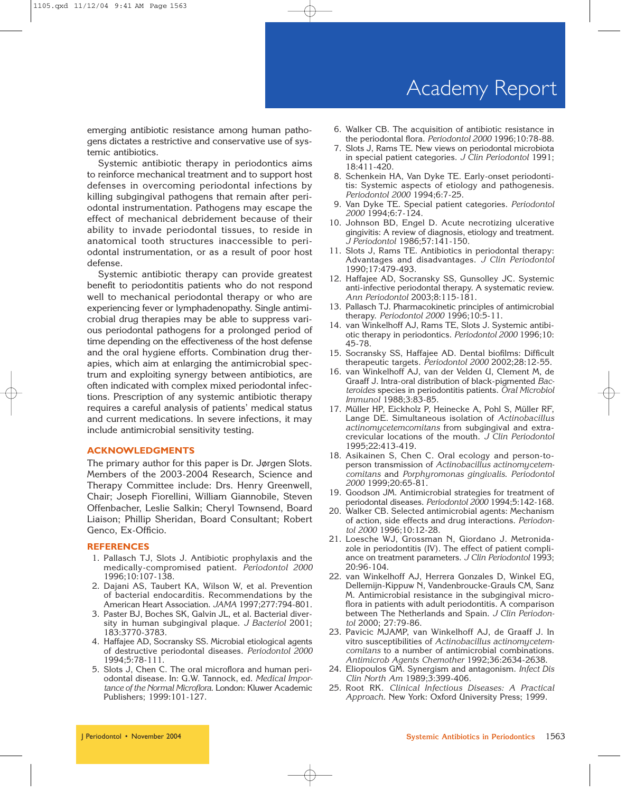## Academy Report

emerging antibiotic resistance among human pathogens dictates a restrictive and conservative use of systemic antibiotics.

Systemic antibiotic therapy in periodontics aims to reinforce mechanical treatment and to support host defenses in overcoming periodontal infections by killing subgingival pathogens that remain after periodontal instrumentation. Pathogens may escape the effect of mechanical debridement because of their ability to invade periodontal tissues, to reside in anatomical tooth structures inaccessible to periodontal instrumentation, or as a result of poor host defense.

Systemic antibiotic therapy can provide greatest benefit to periodontitis patients who do not respond well to mechanical periodontal therapy or who are experiencing fever or lymphadenopathy. Single antimicrobial drug therapies may be able to suppress various periodontal pathogens for a prolonged period of time depending on the effectiveness of the host defense and the oral hygiene efforts. Combination drug therapies, which aim at enlarging the antimicrobial spectrum and exploiting synergy between antibiotics, are often indicated with complex mixed periodontal infections. Prescription of any systemic antibiotic therapy requires a careful analysis of patients' medical status and current medications. In severe infections, it may include antimicrobial sensitivity testing.

#### **ACKNOWLEDGMENTS**

The primary author for this paper is Dr. Jørgen Slots. Members of the 2003-2004 Research, Science and Therapy Committee include: Drs. Henry Greenwell, Chair; Joseph Fiorellini, William Giannobile, Steven Offenbacher, Leslie Salkin; Cheryl Townsend, Board Liaison; Phillip Sheridan, Board Consultant; Robert Genco, Ex-Officio.

#### **REFERENCES**

- 1. Pallasch TJ, Slots J. Antibiotic prophylaxis and the medically-compromised patient. *Periodontol 2000* 1996;10:107-138.
- 2. Dajani AS, Taubert KA, Wilson W, et al. Prevention of bacterial endocarditis. Recommendations by the American Heart Association. *JAMA* 1997;277:794-801.
- 3. Paster BJ, Boches SK, Galvin JL, et al. Bacterial diversity in human subgingival plaque. *J Bacteriol* 2001; 183:3770-3783.
- 4. Haffajee AD, Socransky SS. Microbial etiological agents of destructive periodontal diseases. *Periodontol 2000* 1994;5:78-111.
- 5. Slots J, Chen C. The oral microflora and human periodontal disease. In: G.W. Tannock, ed. *Medical Importance of the Normal Microflora*. London: Kluwer Academic Publishers; 1999:101-127.
- 6. Walker CB. The acquisition of antibiotic resistance in the periodontal flora. *Periodontol 2000* 1996;10:78-88.
- 7. Slots J, Rams TE. New views on periodontal microbiota in special patient categories. *J Clin Periodontol* 1991; 18:411-420.
- 8. Schenkein HA, Van Dyke TE. Early-onset periodontitis: Systemic aspects of etiology and pathogenesis. *Periodontol 2000* 1994;6:7-25.
- 9. Van Dyke TE. Special patient categories. *Periodontol 2000* 1994;6:7-124.
- 10. Johnson BD, Engel D. Acute necrotizing ulcerative gingivitis: A review of diagnosis, etiology and treatment. *J Periodontol* 1986;57:141-150.
- 11. Slots J, Rams TE. Antibiotics in periodontal therapy: Advantages and disadvantages. *J Clin Periodontol* 1990;17:479-493.
- 12. Haffajee AD, Socransky SS, Gunsolley JC. Systemic anti-infective periodontal therapy. A systematic review. *Ann Periodontol* 2003;8:115-181.
- 13. Pallasch TJ. Pharmacokinetic principles of antimicrobial therapy. *Periodontol 2000* 1996;10:5-11.
- 14. van Winkelhoff AJ, Rams TE, Slots J. Systemic antibiotic therapy in periodontics. *Periodontol 2000* 1996;10: 45-78.
- 15. Socransky SS, Haffajee AD. Dental biofilms: Difficult therapeutic targets. *Periodontol 2000* 2002;28:12-55.
- 16. van Winkelhoff AJ, van der Velden U, Clement M, de Graaff J. Intra-oral distribution of black-pigmented *Bacteroides* species in periodontitis patients. *Oral Microbiol Immunol* 1988;3:83-85.
- 17. Müller HP, Eickholz P, Heinecke A, Pohl S, Müller RF, Lange DE. Simultaneous isolation of *Actinobacillus actinomycetemcomitans* from subgingival and extracrevicular locations of the mouth. *J Clin Periodontol* 1995;22:413-419.
- 18. Asikainen S, Chen C. Oral ecology and person-toperson transmission of *Actinobacillus actinomycetemcomitans* and *Porphyromonas gingivalis*. *Periodontol 2000* 1999;20:65-81.
- 19. Goodson JM. Antimicrobial strategies for treatment of periodontal diseases. *Periodontol 2000* 1994;5:142-168.
- 20. Walker CB. Selected antimicrobial agents: Mechanism of action, side effects and drug interactions. *Periodontol 2000* 1996;10:12-28.
- 21. Loesche WJ, Grossman N, Giordano J. Metronidazole in periodontitis (IV). The effect of patient compliance on treatment parameters. *J Clin Periodontol* 1993; 20:96-104.
- 22. van Winkelhoff AJ, Herrera Gonzales D, Winkel EG, Dellemijn-Kippuw N, Vandenbroucke-Grauls CM, Sanz M. Antimicrobial resistance in the subgingival microflora in patients with adult periodontitis. A comparison between The Netherlands and Spain. *J Clin Periodontol* 2000; 27:79-86.
- 23. Pavicic MJAMP, van Winkelhoff AJ, de Graaff J. In vitro susceptibilities of *Actinobacillus actinomycetemcomitans* to a number of antimicrobial combinations. *Antimicrob Agents Chemother* 1992;36:2634-2638.
- 24. Eliopoulos GM. Synergism and antagonism. *Infect Dis Clin North Am* 1989;3:399-406.
- 25. Root RK. *Clinical Infectious Diseases: A Practical Approach*. New York: Oxford University Press; 1999.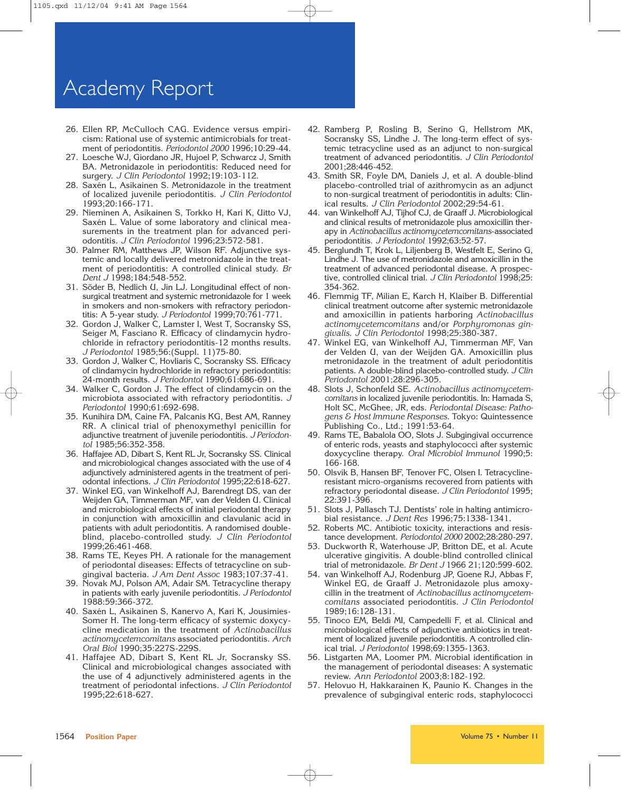- 26. Ellen RP, McCulloch CAG. Evidence versus empiricism: Rational use of systemic antimicrobials for treatment of periodontitis. *Periodontol 2000* 1996;10:29-44.
- 27. Loesche WJ, Giordano JR, Hujoel P, Schwarcz J, Smith BA. Metronidazole in periodontitis: Reduced need for surgery. *J Clin Periodontol* 1992;19:103-112.
- 28. Saxén L, Asikainen S. Metronidazole in the treatment of localized juvenile periodontitis. *J Clin Periodontol* 1993;20:166-171.
- 29. Nieminen A, Asikainen S, Torkko H, Kari K, Uitto VJ, Saxén L. Value of some laboratory and clinical measurements in the treatment plan for advanced periodontitis. *J Clin Periodontol* 1996;23:572-581.
- 30. Palmer RM, Matthews JP, Wilson RF. Adjunctive systemic and locally delivered metronidazole in the treatment of periodontitis: A controlled clinical study. *Br Dent J* 1998;184:548-552.
- 31. Söder B, Nedlich U, Jin LJ. Longitudinal effect of nonsurgical treatment and systemic metronidazole for 1 week in smokers and non-smokers with refractory periodontitis: A 5-year study. *J Periodontol* 1999;70:761-771.
- 32. Gordon J, Walker C, Lamster I, West T, Socransky SS, Seiger M, Fasciano R. Efficacy of clindamycin hydrochloride in refractory periodontitis-12 months results. *J Periodontol* 1985;56:(Suppl. 11)75-80.
- 33. Gordon J, Walker C, Hovliaris C, Socransky SS. Efficacy of clindamycin hydrochloride in refractory periodontitis: 24-month results. *J Periodontol* 1990;61:686-691.
- 34. Walker C, Gordon J. The effect of clindamycin on the microbiota associated with refractory periodontitis. *J Periodontol* 1990;61:692-698.
- 35. Kunihira DM, Caine FA, Palcanis KG, Best AM, Ranney RR. A clinical trial of phenoxymethyl penicillin for adjunctive treatment of juvenile periodontitis. *J Periodontol* 1985;56:352-358.
- 36. Haffajee AD, Dibart S, Kent RL Jr, Socransky SS. Clinical and microbiological changes associated with the use of 4 adjunctively administered agents in the treatment of periodontal infections. *J Clin Periodontol* 1995;22:618-627.
- 37. Winkel EG, van Winkelhoff AJ, Barendregt DS, van der Weijden GA, Timmerman MF, van der Velden U. Clinical and microbiological effects of initial periodontal therapy in conjunction with amoxicillin and clavulanic acid in patients with adult periodontitis. A randomised doubleblind, placebo-controlled study. *J Clin Periodontol* 1999;26:461-468.
- 38. Rams TE, Keyes PH. A rationale for the management of periodontal diseases: Effects of tetracycline on subgingival bacteria. *J Am Dent Assoc* 1983;107:37-41.
- 39. Novak MJ, Polson AM, Adair SM. Tetracycline therapy in patients with early juvenile periodontitis. *J Periodontol* 1988:59:366-372.
- 40. Saxén L, Asikainen S, Kanervo A, Kari K, Jousimies-Somer H. The long-term efficacy of systemic doxycycline medication in the treatment of *Actinobacillus actinomycetemcomitans* associated periodontitis. *Arch Oral Biol* 1990;35:227S-229S.
- 41. Haffajee AD, Dibart S, Kent RL Jr, Socransky SS. Clinical and microbiological changes associated with the use of 4 adjunctively administered agents in the treatment of periodontal infections. *J Clin Periodontol* 1995;22:618-627.
- 42. Ramberg P, Rosling B, Serino G, Hellstrom MK, Socransky SS, Lindhe J. The long-term effect of systemic tetracycline used as an adjunct to non-surgical treatment of advanced periodontitis. *J Clin Periodontol* 2001;28:446-452.
- 43. Smith SR, Foyle DM, Daniels J, et al. A double-blind placebo-controlled trial of azithromycin as an adjunct to non-surgical treatment of periodontitis in adults: Clinical results. *J Clin Periodontol* 2002;29:54-61.
- 44. van Winkelhoff AJ, Tijhof CJ, de Graaff J. Microbiological and clinical results of metronidazole plus amoxicillin therapy in *Actinobacillus actinomycetemcomitans*-associated periodontitis. *J Periodontol* 1992;63:52-57.
- 45. Berglundh T, Krok L, Liljenberg B, Westfelt E, Serino G, Lindhe J. The use of metronidazole and amoxicillin in the treatment of advanced periodontal disease. A prospective, controlled clinical trial. *J Clin Periodontol* 1998;25: 354-362.
- 46. Flemmig TF, Milian E, Karch H, Klaiber B. Differential clinical treatment outcome after systemic metronidazole and amoxicillin in patients harboring *Actinobacillus actinomycetemcomitans* and/or *Porphyromonas gingivalis*. *J Clin Periodontol* 1998;25:380-387.
- 47. Winkel EG, van Winkelhoff AJ, Timmerman MF, Van der Velden U, van der Weijden GA. Amoxicillin plus metronidazole in the treatment of adult periodontitis patients. A double-blind placebo-controlled study. *J Clin Periodontol* 2001;28:296-305.
- 48. Slots J, Schonfeld SE. *Actinobacillus actinomycetemcomitans* in localized juvenile periodontitis. In: Hamada S, Holt SC, McGhee, JR, eds. *Periodontal Disease: Pathogens & Host Immune Responses*. Tokyo: Quintessence Publishing Co., Ltd.; 1991:53-64.
- 49. Rams TE, Babalola OO, Slots J. Subgingival occurrence of enteric rods, yeasts and staphylococci after systemic doxycycline therapy. *Oral Microbiol Immunol* 1990;5: 166-168.
- 50. Olsvik B, Hansen BF, Tenover FC, Olsen I. Tetracyclineresistant micro-organisms recovered from patients with refractory periodontal disease. *J Clin Periodontol* 1995; 22:391-396.
- 51. Slots J, Pallasch TJ. Dentists' role in halting antimicrobial resistance. *J Dent Res* 1996;75:1338-1341.
- 52. Roberts MC. Antibiotic toxicity, interactions and resistance development. *Periodontol 2000* 2002;28:280-297.
- 53. Duckworth R, Waterhouse JP, Britton DE, et al. Acute ulcerative gingivitis. A double-blind controlled clinical trial of metronidazole. *Br Dent J* 1966 21;120:599-602.
- 54. van Winkelhoff AJ, Rodenburg JP, Goene RJ, Abbas F, Winkel EG, de Graaff J. Metronidazole plus amoxycillin in the treatment of *Actinobacillus actinomycetemcomitans* associated periodontitis. *J Clin Periodontol* 1989;16:128-131.
- 55. Tinoco EM, Beldi MI, Campedelli F, et al. Clinical and microbiological effects of adjunctive antibiotics in treatment of localized juvenile periodontitis. A controlled clinical trial. *J Periodontol* 1998;69:1355-1363.
- 56. Listgarten MA, Loomer PM. Microbial identification in the management of periodontal diseases: A systematic review. *Ann Periodontol* 2003;8:182-192.
- 57. Helovuo H, Hakkarainen K, Paunio K. Changes in the prevalence of subgingival enteric rods, staphylococci